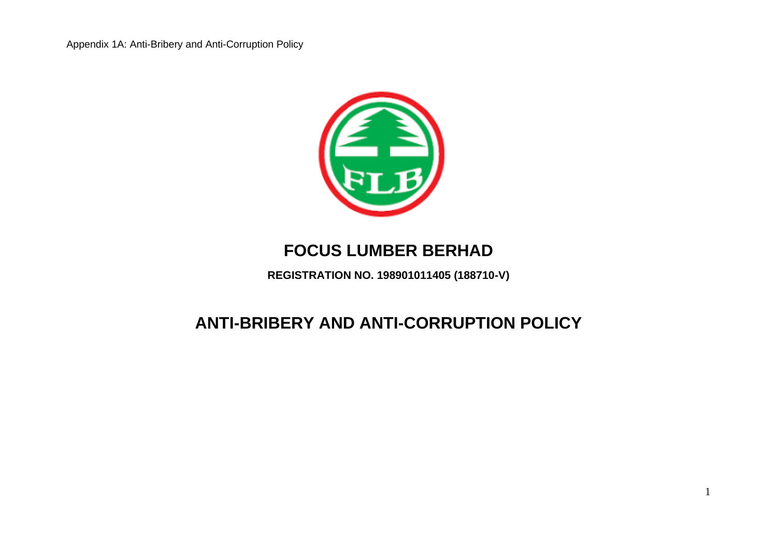

# **FOCUS LUMBER BERHAD**

**REGISTRATION NO. 198901011405 (188710-V)**

# **ANTI-BRIBERY AND ANTI-CORRUPTION POLICY**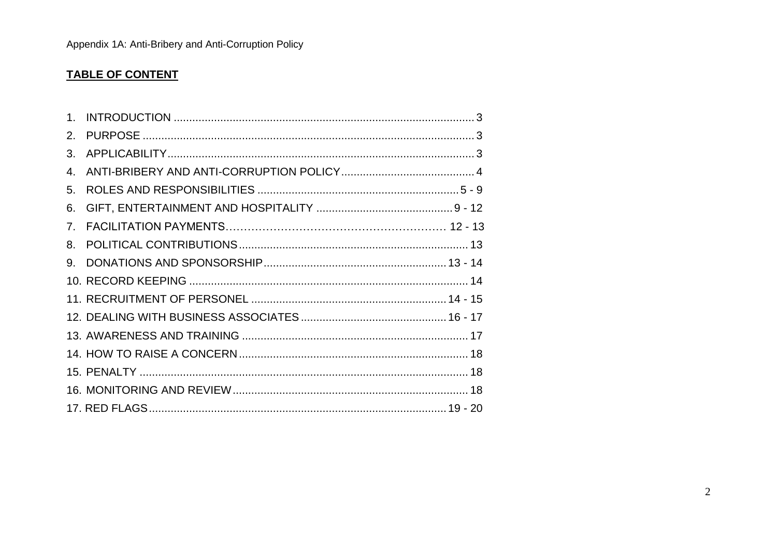## **TABLE OF CONTENT**

| $1_{-}$                        |  |
|--------------------------------|--|
| 2.                             |  |
| 3.                             |  |
| 4.                             |  |
| 5.                             |  |
| 6.                             |  |
| $7_{\scriptscriptstyle{\sim}}$ |  |
| 8.                             |  |
| 9.                             |  |
|                                |  |
|                                |  |
|                                |  |
|                                |  |
|                                |  |
|                                |  |
|                                |  |
|                                |  |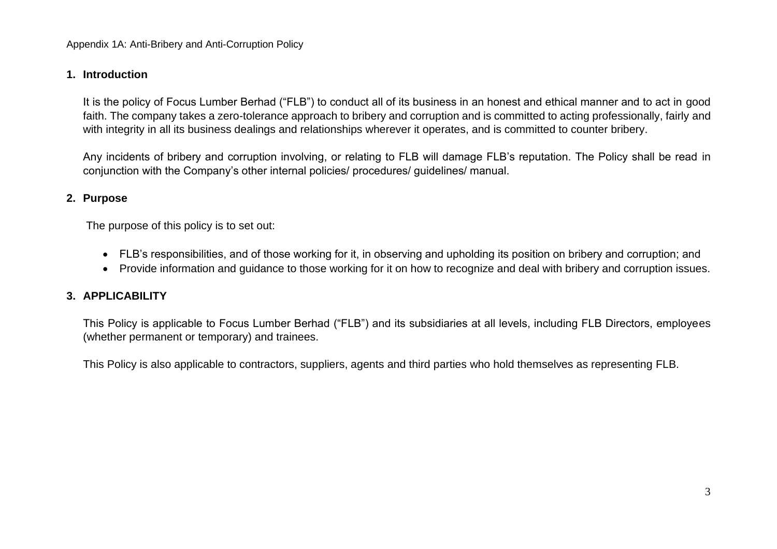## **1. Introduction**

It is the policy of Focus Lumber Berhad ("FLB") to conduct all of its business in an honest and ethical manner and to act in good faith. The company takes a zero-tolerance approach to bribery and corruption and is committed to acting professionally, fairly and with integrity in all its business dealings and relationships wherever it operates, and is committed to counter bribery.

Any incidents of bribery and corruption involving, or relating to FLB will damage FLB's reputation. The Policy shall be read in conjunction with the Company's other internal policies/ procedures/ guidelines/ manual.

## **2. Purpose**

The purpose of this policy is to set out:

- FLB's responsibilities, and of those working for it, in observing and upholding its position on bribery and corruption; and
- Provide information and guidance to those working for it on how to recognize and deal with bribery and corruption issues.

## **3. APPLICABILITY**

This Policy is applicable to Focus Lumber Berhad ("FLB") and its subsidiaries at all levels, including FLB Directors, employees (whether permanent or temporary) and trainees.

This Policy is also applicable to contractors, suppliers, agents and third parties who hold themselves as representing FLB.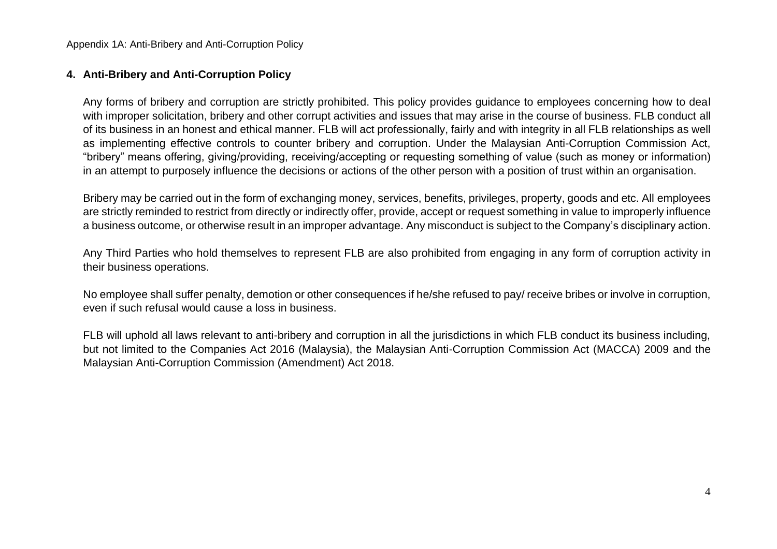#### **4. Anti-Bribery and Anti-Corruption Policy**

Any forms of bribery and corruption are strictly prohibited. This policy provides guidance to employees concerning how to deal with improper solicitation, bribery and other corrupt activities and issues that may arise in the course of business. FLB conduct all of its business in an honest and ethical manner. FLB will act professionally, fairly and with integrity in all FLB relationships as well as implementing effective controls to counter bribery and corruption. Under the Malaysian Anti-Corruption Commission Act, "bribery" means offering, giving/providing, receiving/accepting or requesting something of value (such as money or information) in an attempt to purposely influence the decisions or actions of the other person with a position of trust within an organisation.

Bribery may be carried out in the form of exchanging money, services, benefits, privileges, property, goods and etc. All employees are strictly reminded to restrict from directly or indirectly offer, provide, accept or request something in value to improperly influence a business outcome, or otherwise result in an improper advantage. Any misconduct is subject to the Company's disciplinary action.

Any Third Parties who hold themselves to represent FLB are also prohibited from engaging in any form of corruption activity in their business operations.

No employee shall suffer penalty, demotion or other consequences if he/she refused to pay/ receive bribes or involve in corruption, even if such refusal would cause a loss in business.

FLB will uphold all laws relevant to anti-bribery and corruption in all the jurisdictions in which FLB conduct its business including, but not limited to the Companies Act 2016 (Malaysia), the Malaysian Anti-Corruption Commission Act (MACCA) 2009 and the Malaysian Anti-Corruption Commission (Amendment) Act 2018.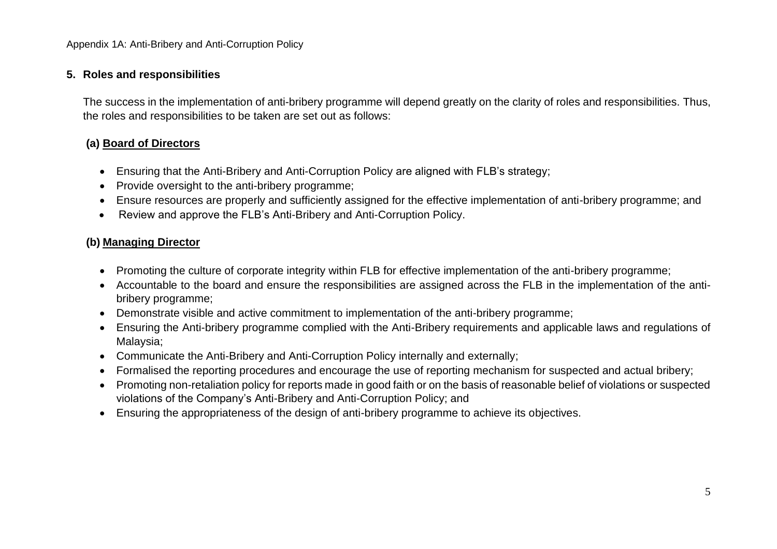#### **5. Roles and responsibilities**

The success in the implementation of anti-bribery programme will depend greatly on the clarity of roles and responsibilities. Thus, the roles and responsibilities to be taken are set out as follows:

## **(a) Board of Directors**

- Ensuring that the Anti-Bribery and Anti-Corruption Policy are aligned with FLB's strategy;
- Provide oversight to the anti-bribery programme;
- Ensure resources are properly and sufficiently assigned for the effective implementation of anti-bribery programme; and
- Review and approve the FLB's Anti-Bribery and Anti-Corruption Policy.

## **(b) Managing Director**

- Promoting the culture of corporate integrity within FLB for effective implementation of the anti-bribery programme;
- Accountable to the board and ensure the responsibilities are assigned across the FLB in the implementation of the antibribery programme;
- Demonstrate visible and active commitment to implementation of the anti-bribery programme;
- Ensuring the Anti-bribery programme complied with the Anti-Bribery requirements and applicable laws and regulations of Malaysia;
- Communicate the Anti-Bribery and Anti-Corruption Policy internally and externally;
- Formalised the reporting procedures and encourage the use of reporting mechanism for suspected and actual bribery;
- Promoting non-retaliation policy for reports made in good faith or on the basis of reasonable belief of violations or suspected violations of the Company's Anti-Bribery and Anti-Corruption Policy; and
- Ensuring the appropriateness of the design of anti-bribery programme to achieve its objectives.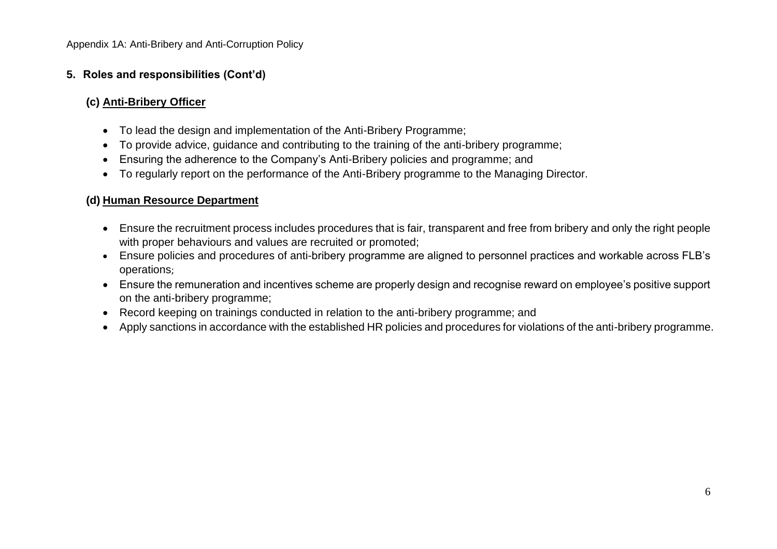## **5. Roles and responsibilities (Cont'd)**

## **(c) Anti-Bribery Officer**

- To lead the design and implementation of the Anti-Bribery Programme;
- To provide advice, guidance and contributing to the training of the anti-bribery programme;
- Ensuring the adherence to the Company's Anti-Bribery policies and programme; and
- To regularly report on the performance of the Anti-Bribery programme to the Managing Director.

## **(d) Human Resource Department**

- Ensure the recruitment process includes procedures that is fair, transparent and free from bribery and only the right people with proper behaviours and values are recruited or promoted;
- Ensure policies and procedures of anti-bribery programme are aligned to personnel practices and workable across FLB's operations;
- Ensure the remuneration and incentives scheme are properly design and recognise reward on employee's positive support on the anti-bribery programme;
- Record keeping on trainings conducted in relation to the anti-bribery programme; and
- Apply sanctions in accordance with the established HR policies and procedures for violations of the anti-bribery programme.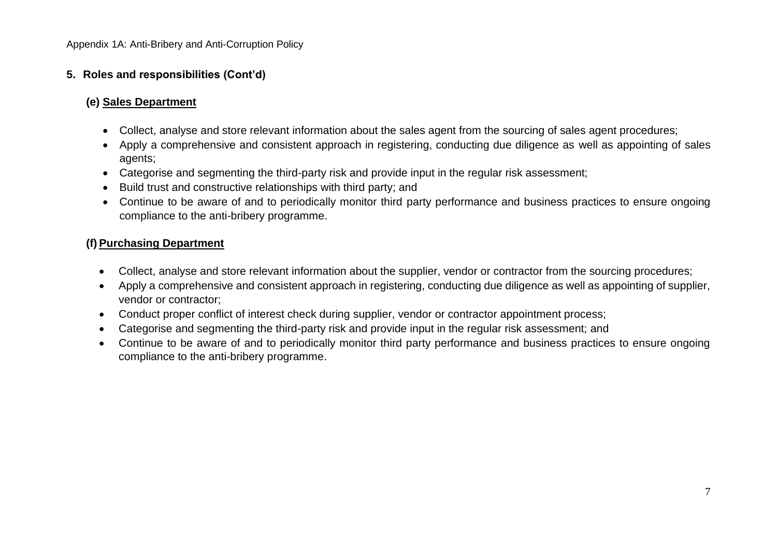## **5. Roles and responsibilities (Cont'd)**

## **(e) Sales Department**

- Collect, analyse and store relevant information about the sales agent from the sourcing of sales agent procedures;
- Apply a comprehensive and consistent approach in registering, conducting due diligence as well as appointing of sales agents;
- Categorise and segmenting the third-party risk and provide input in the regular risk assessment;
- Build trust and constructive relationships with third party; and
- Continue to be aware of and to periodically monitor third party performance and business practices to ensure ongoing compliance to the anti-bribery programme.

## **(f) Purchasing Department**

- Collect, analyse and store relevant information about the supplier, vendor or contractor from the sourcing procedures;
- Apply a comprehensive and consistent approach in registering, conducting due diligence as well as appointing of supplier, vendor or contractor;
- Conduct proper conflict of interest check during supplier, vendor or contractor appointment process;
- Categorise and segmenting the third-party risk and provide input in the regular risk assessment; and
- Continue to be aware of and to periodically monitor third party performance and business practices to ensure ongoing compliance to the anti-bribery programme.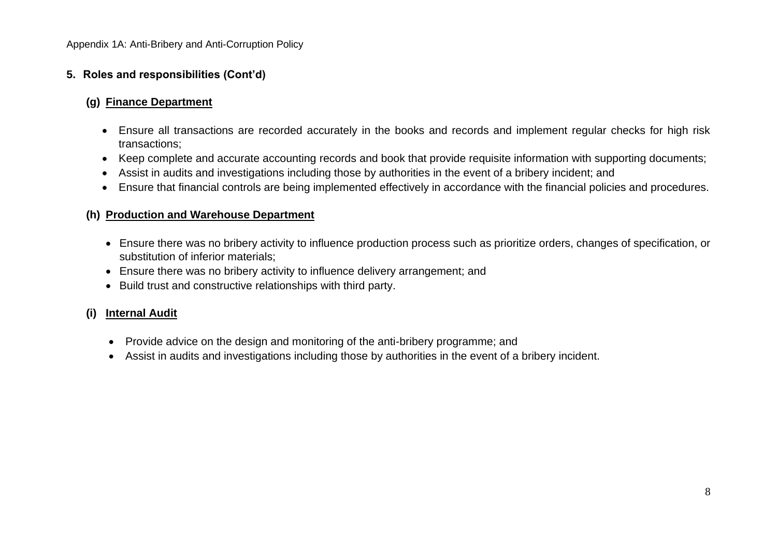## **5. Roles and responsibilities (Cont'd)**

## **(g) Finance Department**

- Ensure all transactions are recorded accurately in the books and records and implement regular checks for high risk transactions;
- Keep complete and accurate accounting records and book that provide requisite information with supporting documents;
- Assist in audits and investigations including those by authorities in the event of a bribery incident; and
- Ensure that financial controls are being implemented effectively in accordance with the financial policies and procedures.

#### **(h) Production and Warehouse Department**

- Ensure there was no bribery activity to influence production process such as prioritize orders, changes of specification, or substitution of inferior materials;
- Ensure there was no bribery activity to influence delivery arrangement; and
- Build trust and constructive relationships with third party.

## **(i) Internal Audit**

- Provide advice on the design and monitoring of the anti-bribery programme; and
- Assist in audits and investigations including those by authorities in the event of a bribery incident.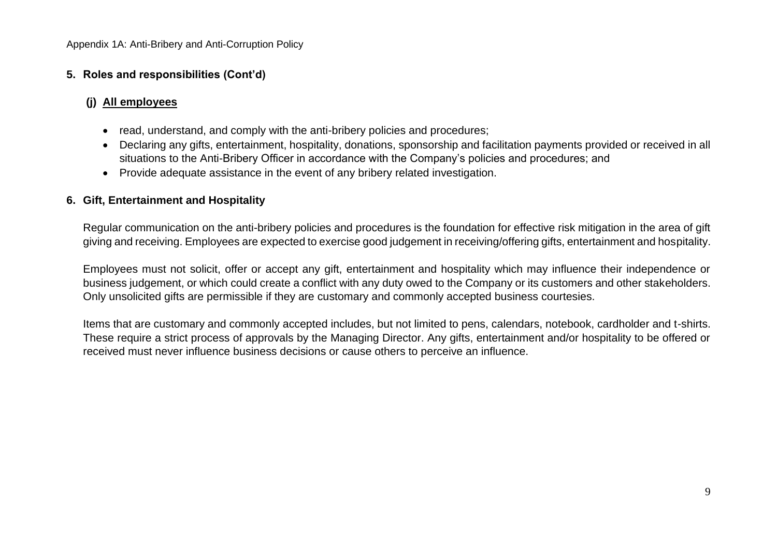## **5. Roles and responsibilities (Cont'd)**

## **(j) All employees**

- read, understand, and comply with the anti-bribery policies and procedures;
- Declaring any gifts, entertainment, hospitality, donations, sponsorship and facilitation payments provided or received in all situations to the Anti-Bribery Officer in accordance with the Company's policies and procedures; and
- Provide adequate assistance in the event of any bribery related investigation.

## **6. Gift, Entertainment and Hospitality**

Regular communication on the anti-bribery policies and procedures is the foundation for effective risk mitigation in the area of gift giving and receiving. Employees are expected to exercise good judgement in receiving/offering gifts, entertainment and hospitality.

Employees must not solicit, offer or accept any gift, entertainment and hospitality which may influence their independence or business judgement, or which could create a conflict with any duty owed to the Company or its customers and other stakeholders. Only unsolicited gifts are permissible if they are customary and commonly accepted business courtesies.

Items that are customary and commonly accepted includes, but not limited to pens, calendars, notebook, cardholder and t-shirts. These require a strict process of approvals by the Managing Director. Any gifts, entertainment and/or hospitality to be offered or received must never influence business decisions or cause others to perceive an influence.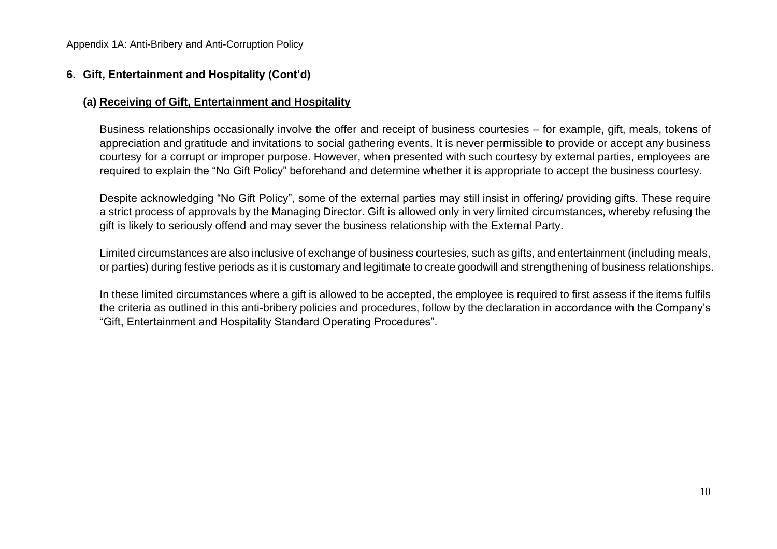## **6. Gift, Entertainment and Hospitality (Cont'd)**

#### **(a) Receiving of Gift, Entertainment and Hospitality**

Business relationships occasionally involve the offer and receipt of business courtesies – for example, gift, meals, tokens of appreciation and gratitude and invitations to social gathering events. It is never permissible to provide or accept any business courtesy for a corrupt or improper purpose. However, when presented with such courtesy by external parties, employees are required to explain the "No Gift Policy" beforehand and determine whether it is appropriate to accept the business courtesy.

Despite acknowledging "No Gift Policy", some of the external parties may still insist in offering/ providing gifts. These require a strict process of approvals by the Managing Director. Gift is allowed only in very limited circumstances, whereby refusing the gift is likely to seriously offend and may sever the business relationship with the External Party.

Limited circumstances are also inclusive of exchange of business courtesies, such as gifts, and entertainment (including meals, or parties) during festive periods as it is customary and legitimate to create goodwill and strengthening of business relationships.

In these limited circumstances where a gift is allowed to be accepted, the employee is required to first assess if the items fulfils the criteria as outlined in this anti-bribery policies and procedures, follow by the declaration in accordance with the Company's "Gift, Entertainment and Hospitality Standard Operating Procedures".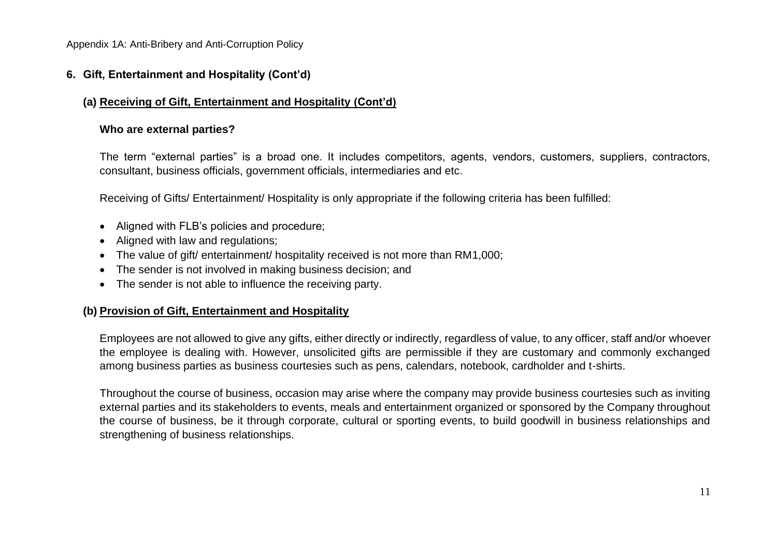## **6. Gift, Entertainment and Hospitality (Cont'd)**

## **(a) Receiving of Gift, Entertainment and Hospitality (Cont'd)**

#### **Who are external parties?**

The term "external parties" is a broad one. It includes competitors, agents, vendors, customers, suppliers, contractors, consultant, business officials, government officials, intermediaries and etc.

Receiving of Gifts/ Entertainment/ Hospitality is only appropriate if the following criteria has been fulfilled:

- Aligned with FLB's policies and procedure;
- Aligned with law and regulations;
- The value of gift/ entertainment/ hospitality received is not more than RM1,000;
- The sender is not involved in making business decision; and
- The sender is not able to influence the receiving party.

#### **(b) Provision of Gift, Entertainment and Hospitality**

Employees are not allowed to give any gifts, either directly or indirectly, regardless of value, to any officer, staff and/or whoever the employee is dealing with. However, unsolicited gifts are permissible if they are customary and commonly exchanged among business parties as business courtesies such as pens, calendars, notebook, cardholder and t-shirts.

Throughout the course of business, occasion may arise where the company may provide business courtesies such as inviting external parties and its stakeholders to events, meals and entertainment organized or sponsored by the Company throughout the course of business, be it through corporate, cultural or sporting events, to build goodwill in business relationships and strengthening of business relationships.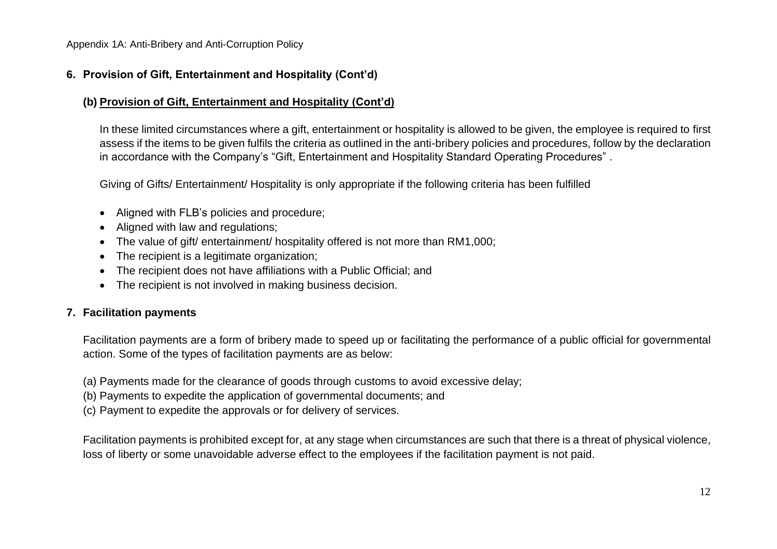## **6. Provision of Gift, Entertainment and Hospitality (Cont'd)**

## **(b) Provision of Gift, Entertainment and Hospitality (Cont'd)**

In these limited circumstances where a gift, entertainment or hospitality is allowed to be given, the employee is required to first assess if the items to be given fulfils the criteria as outlined in the anti-bribery policies and procedures, follow by the declaration in accordance with the Company's "Gift, Entertainment and Hospitality Standard Operating Procedures" .

Giving of Gifts/ Entertainment/ Hospitality is only appropriate if the following criteria has been fulfilled

- Aligned with FLB's policies and procedure:
- Aligned with law and regulations;
- The value of gift/ entertainment/ hospitality offered is not more than RM1,000;
- The recipient is a legitimate organization;
- The recipient does not have affiliations with a Public Official; and
- The recipient is not involved in making business decision.

## **7. Facilitation payments**

Facilitation payments are a form of bribery made to speed up or facilitating the performance of a public official for governmental action. Some of the types of facilitation payments are as below:

- (a) Payments made for the clearance of goods through customs to avoid excessive delay;
- (b) Payments to expedite the application of governmental documents; and
- (c) Payment to expedite the approvals or for delivery of services.

Facilitation payments is prohibited except for, at any stage when circumstances are such that there is a threat of physical violence, loss of liberty or some unavoidable adverse effect to the employees if the facilitation payment is not paid.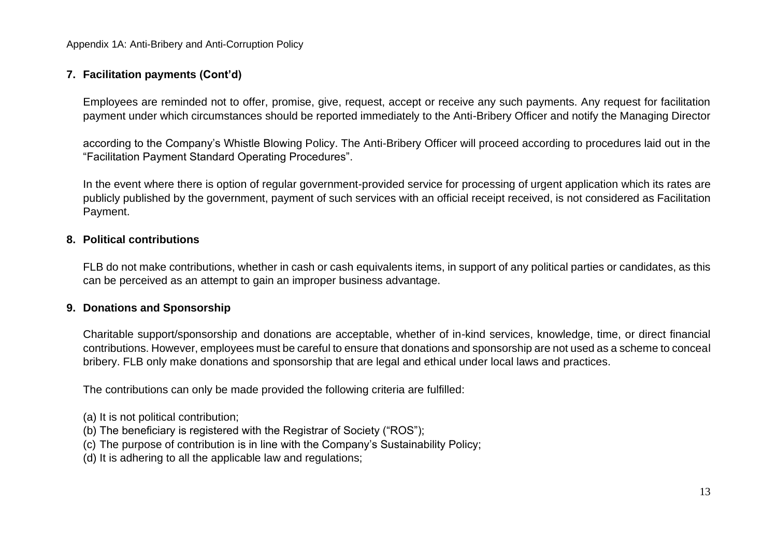## **7. Facilitation payments (Cont'd)**

Employees are reminded not to offer, promise, give, request, accept or receive any such payments. Any request for facilitation payment under which circumstances should be reported immediately to the Anti-Bribery Officer and notify the Managing Director

according to the Company's Whistle Blowing Policy. The Anti-Bribery Officer will proceed according to procedures laid out in the "Facilitation Payment Standard Operating Procedures".

In the event where there is option of regular government-provided service for processing of urgent application which its rates are publicly published by the government, payment of such services with an official receipt received, is not considered as Facilitation Payment.

#### **8. Political contributions**

FLB do not make contributions, whether in cash or cash equivalents items, in support of any political parties or candidates, as this can be perceived as an attempt to gain an improper business advantage.

#### **9. Donations and Sponsorship**

Charitable support/sponsorship and donations are acceptable, whether of in-kind services, knowledge, time, or direct financial contributions. However, employees must be careful to ensure that donations and sponsorship are not used as a scheme to conceal bribery. FLB only make donations and sponsorship that are legal and ethical under local laws and practices.

The contributions can only be made provided the following criteria are fulfilled:

- (a) It is not political contribution;
- (b) The beneficiary is registered with the Registrar of Society ("ROS");
- (c) The purpose of contribution is in line with the Company's Sustainability Policy;
- (d) It is adhering to all the applicable law and regulations;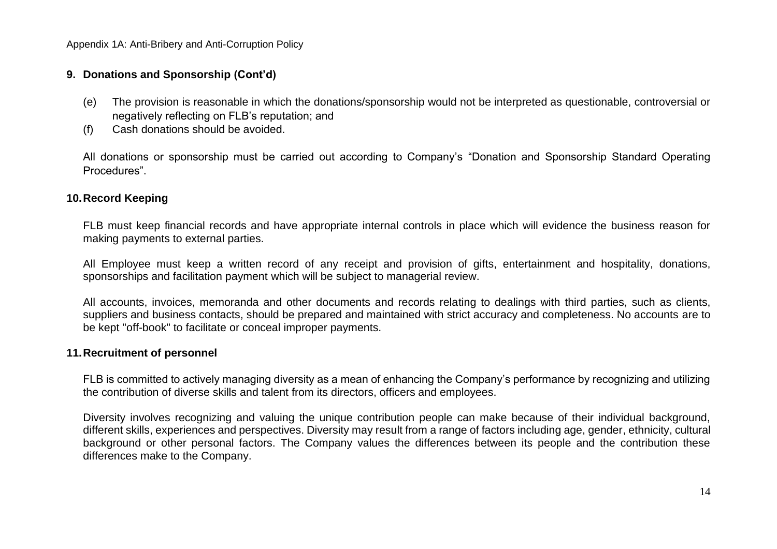#### **9. Donations and Sponsorship (Cont'd)**

- (e) The provision is reasonable in which the donations/sponsorship would not be interpreted as questionable, controversial or negatively reflecting on FLB's reputation; and
- (f) Cash donations should be avoided.

All donations or sponsorship must be carried out according to Company's "Donation and Sponsorship Standard Operating Procedures".

#### **10.Record Keeping**

FLB must keep financial records and have appropriate internal controls in place which will evidence the business reason for making payments to external parties.

All Employee must keep a written record of any receipt and provision of gifts, entertainment and hospitality, donations, sponsorships and facilitation payment which will be subject to managerial review.

All accounts, invoices, memoranda and other documents and records relating to dealings with third parties, such as clients, suppliers and business contacts, should be prepared and maintained with strict accuracy and completeness. No accounts are to be kept "off-book" to facilitate or conceal improper payments.

#### **11.Recruitment of personnel**

FLB is committed to actively managing diversity as a mean of enhancing the Company's performance by recognizing and utilizing the contribution of diverse skills and talent from its directors, officers and employees.

Diversity involves recognizing and valuing the unique contribution people can make because of their individual background, different skills, experiences and perspectives. Diversity may result from a range of factors including age, gender, ethnicity, cultural background or other personal factors. The Company values the differences between its people and the contribution these differences make to the Company.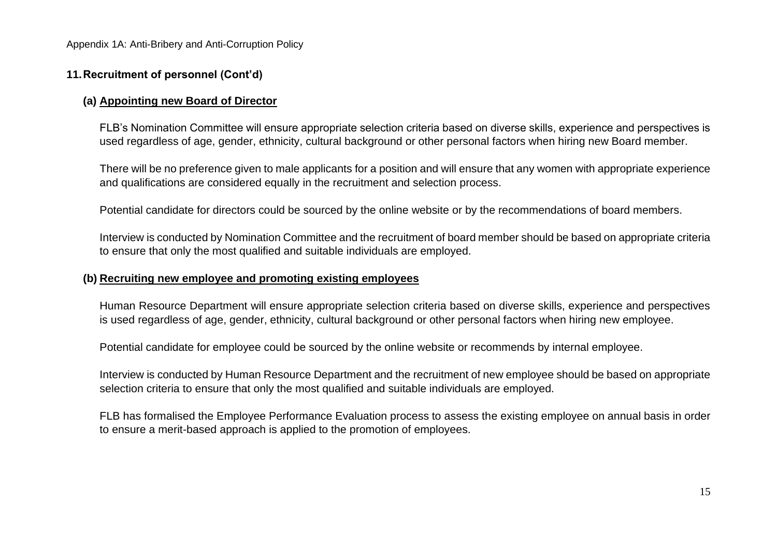#### **11.Recruitment of personnel (Cont'd)**

#### **(a) Appointing new Board of Director**

FLB's Nomination Committee will ensure appropriate selection criteria based on diverse skills, experience and perspectives is used regardless of age, gender, ethnicity, cultural background or other personal factors when hiring new Board member.

There will be no preference given to male applicants for a position and will ensure that any women with appropriate experience and qualifications are considered equally in the recruitment and selection process.

Potential candidate for directors could be sourced by the online website or by the recommendations of board members.

Interview is conducted by Nomination Committee and the recruitment of board member should be based on appropriate criteria to ensure that only the most qualified and suitable individuals are employed.

#### **(b) Recruiting new employee and promoting existing employees**

Human Resource Department will ensure appropriate selection criteria based on diverse skills, experience and perspectives is used regardless of age, gender, ethnicity, cultural background or other personal factors when hiring new employee.

Potential candidate for employee could be sourced by the online website or recommends by internal employee.

Interview is conducted by Human Resource Department and the recruitment of new employee should be based on appropriate selection criteria to ensure that only the most qualified and suitable individuals are employed.

FLB has formalised the Employee Performance Evaluation process to assess the existing employee on annual basis in order to ensure a merit-based approach is applied to the promotion of employees.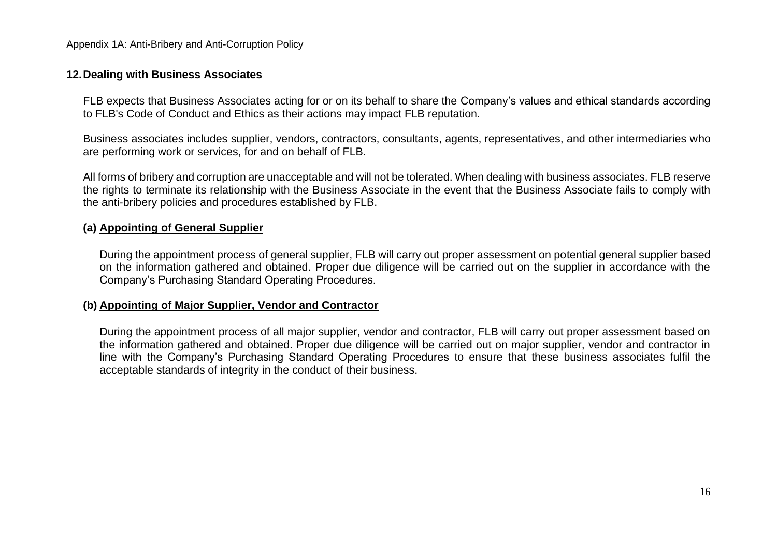#### **12.Dealing with Business Associates**

FLB expects that Business Associates acting for or on its behalf to share the Company's values and ethical standards according to FLB's Code of Conduct and Ethics as their actions may impact FLB reputation.

Business associates includes supplier, vendors, contractors, consultants, agents, representatives, and other intermediaries who are performing work or services, for and on behalf of FLB.

All forms of bribery and corruption are unacceptable and will not be tolerated. When dealing with business associates. FLB reserve the rights to terminate its relationship with the Business Associate in the event that the Business Associate fails to comply with the anti-bribery policies and procedures established by FLB.

#### **(a) Appointing of General Supplier**

During the appointment process of general supplier, FLB will carry out proper assessment on potential general supplier based on the information gathered and obtained. Proper due diligence will be carried out on the supplier in accordance with the Company's Purchasing Standard Operating Procedures.

#### **(b) Appointing of Major Supplier, Vendor and Contractor**

During the appointment process of all major supplier, vendor and contractor, FLB will carry out proper assessment based on the information gathered and obtained. Proper due diligence will be carried out on major supplier, vendor and contractor in line with the Company's Purchasing Standard Operating Procedures to ensure that these business associates fulfil the acceptable standards of integrity in the conduct of their business.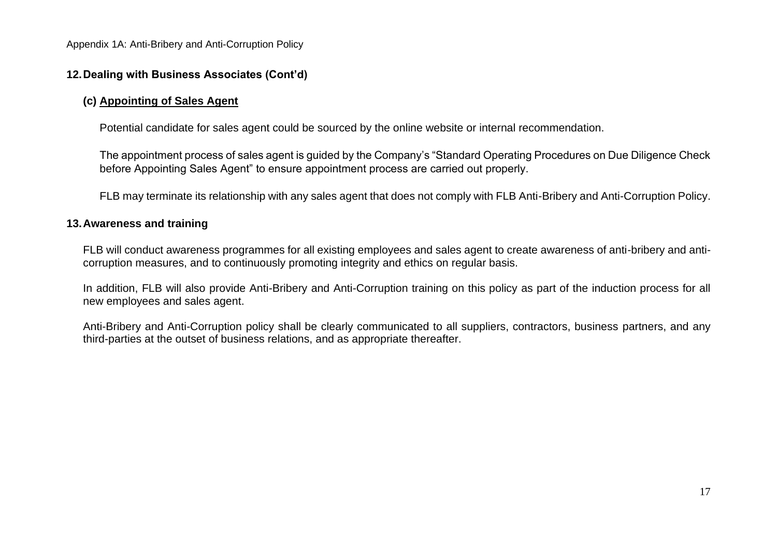### **12.Dealing with Business Associates (Cont'd)**

#### **(c) Appointing of Sales Agent**

Potential candidate for sales agent could be sourced by the online website or internal recommendation.

The appointment process of sales agent is guided by the Company's "Standard Operating Procedures on Due Diligence Check before Appointing Sales Agent" to ensure appointment process are carried out properly.

FLB may terminate its relationship with any sales agent that does not comply with FLB Anti-Bribery and Anti-Corruption Policy.

#### **13.Awareness and training**

FLB will conduct awareness programmes for all existing employees and sales agent to create awareness of anti-bribery and anticorruption measures, and to continuously promoting integrity and ethics on regular basis.

In addition, FLB will also provide Anti-Bribery and Anti-Corruption training on this policy as part of the induction process for all new employees and sales agent.

Anti-Bribery and Anti-Corruption policy shall be clearly communicated to all suppliers, contractors, business partners, and any third-parties at the outset of business relations, and as appropriate thereafter.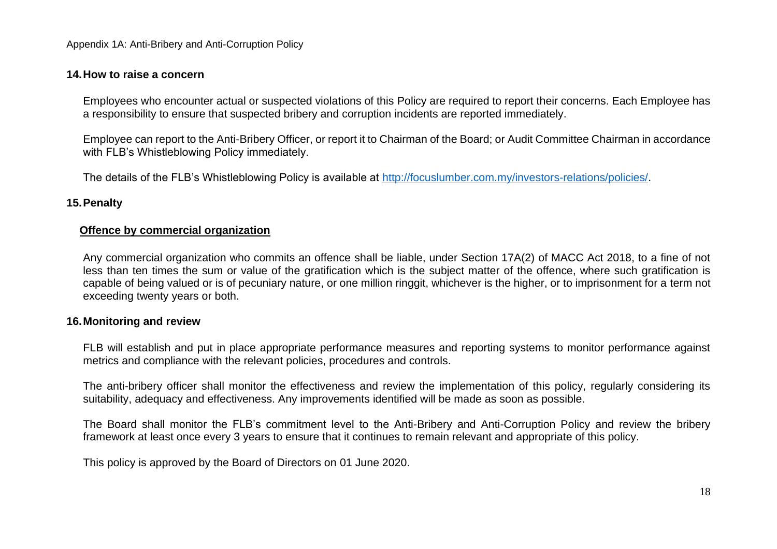#### **14.How to raise a concern**

Employees who encounter actual or suspected violations of this Policy are required to report their concerns. Each Employee has a responsibility to ensure that suspected bribery and corruption incidents are reported immediately.

Employee can report to the Anti-Bribery Officer, or report it to Chairman of the Board; or Audit Committee Chairman in accordance with FLB's Whistleblowing Policy immediately.

The details of the FLB's Whistleblowing Policy is available at [http://focuslumber.com.my/investors-relations/policies/.](http://focuslumber.com.my/investors-relations/policies/)

#### **15.Penalty**

#### **Offence by commercial organization**

Any commercial organization who commits an offence shall be liable, under Section 17A(2) of MACC Act 2018, to a fine of not less than ten times the sum or value of the gratification which is the subject matter of the offence, where such gratification is capable of being valued or is of pecuniary nature, or one million ringgit, whichever is the higher, or to imprisonment for a term not exceeding twenty years or both.

#### **16.Monitoring and review**

FLB will establish and put in place appropriate performance measures and reporting systems to monitor performance against metrics and compliance with the relevant policies, procedures and controls.

The anti-bribery officer shall monitor the effectiveness and review the implementation of this policy, regularly considering its suitability, adequacy and effectiveness. Any improvements identified will be made as soon as possible.

The Board shall monitor the FLB's commitment level to the Anti-Bribery and Anti-Corruption Policy and review the bribery framework at least once every 3 years to ensure that it continues to remain relevant and appropriate of this policy.

This policy is approved by the Board of Directors on 01 June 2020.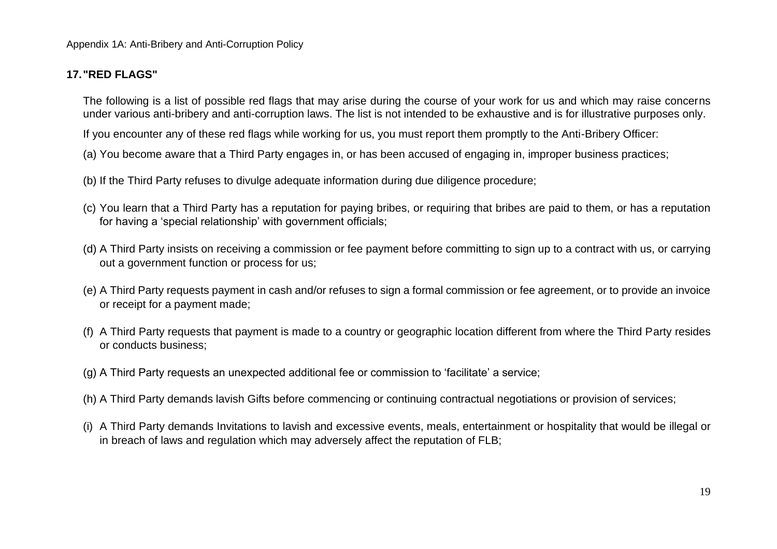## **17."RED FLAGS"**

The following is a list of possible red flags that may arise during the course of your work for us and which may raise concerns under various anti-bribery and anti-corruption laws. The list is not intended to be exhaustive and is for illustrative purposes only.

If you encounter any of these red flags while working for us, you must report them promptly to the Anti-Bribery Officer:

- (a) You become aware that a Third Party engages in, or has been accused of engaging in, improper business practices;
- (b) If the Third Party refuses to divulge adequate information during due diligence procedure;
- (c) You learn that a Third Party has a reputation for paying bribes, or requiring that bribes are paid to them, or has a reputation for having a 'special relationship' with government officials;
- (d) A Third Party insists on receiving a commission or fee payment before committing to sign up to a contract with us, or carrying out a government function or process for us;
- (e) A Third Party requests payment in cash and/or refuses to sign a formal commission or fee agreement, or to provide an invoice or receipt for a payment made;
- (f) A Third Party requests that payment is made to a country or geographic location different from where the Third Party resides or conducts business;
- (g) A Third Party requests an unexpected additional fee or commission to 'facilitate' a service;
- (h) A Third Party demands lavish Gifts before commencing or continuing contractual negotiations or provision of services;
- (i) A Third Party demands Invitations to lavish and excessive events, meals, entertainment or hospitality that would be illegal or in breach of laws and regulation which may adversely affect the reputation of FLB;